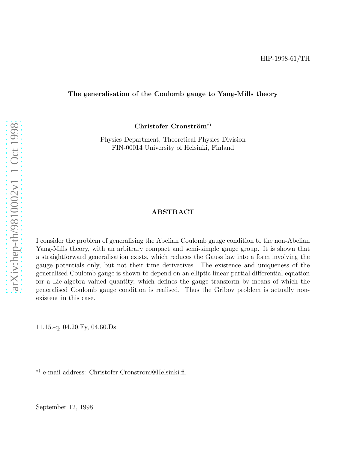#### The generalisation of the Coulomb gauge to Yang-Mills theor y

 $Christofer$  Cronström<sup>\*</sup>)

Physics Department, Theoretical Physics Division FIN-00014 University of Helsinki, Finland

#### ABSTRACT

I consider the problem of generalising the Abelian Coulomb gauge condition to the non-Abelian Yang-Mills theory, with an arbitrary compact and semi-simple gauge group. It is shown that a straightforward generalisation exists, which reduces the Gauss law into a form involving the gauge potentials only, but not their time derivatives. The existence and uniqueness of the generalised Coulomb gauge is shown to depend on an elliptic linear partial differential equation for a Lie-algebra valued quantity, which defines the gauge transform by means of which the generalised Coulomb gauge condition is realised. Thus the Gribov problem is actually nonexistent in this case.

11.15.-q, 04.20.Fy, 04.60.Ds

∗) e-mail address: Christofer.Cronstrom@Helsinki.fi.

September 12, 1998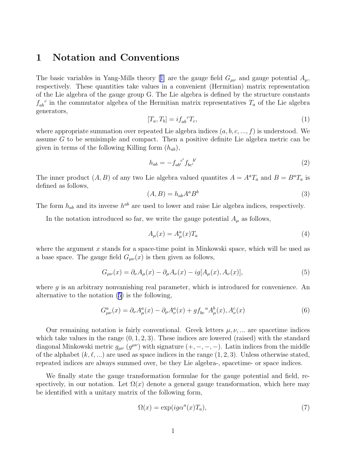### 1 Notation and Conventions

Thebasic variables in Yang-Mills theory [[1\]](#page-8-0) are the gauge field  $G_{\mu\nu}$  and gauge potential  $A_{\mu}$ , respectively. These quantities take values in a convenient (Hermitian) matrix representation of the Lie algebra of the gauge group G. The Lie algebra is defined by the structure constants  $f_{ab}^c$  in the commutator algebra of the Hermitian matrix representatives  $T_a$  of the Lie algebra generators,

$$
[T_a, T_b] = i f_{ab}^{\ \ c} T_c,\tag{1}
$$

where appropriate summation over repeated Lie algebra indices  $(a, b, c, ..., f)$  is understood. We assume G to be semisimple and compact. Then a positive definite Lie algebra metric can be given in terms of the following Killing form  $(h_{ab})$ ,

$$
h_{ab} = -f_{ab}^{c'} f_{bc'}^{b'} \tag{2}
$$

The inner product  $(A, B)$  of any two Lie algebra valued quantites  $A = A^a T_a$  and  $B = B^a T_a$  is defined as follows,

$$
(A,B) = h_{ab}A^a B^b \tag{3}
$$

The form  $h_{ab}$  and its inverse  $h^{ab}$  are used to lower and raise Lie algebra indices, respectively.

In the notation introduced so far, we write the gauge potential  $A_\mu$  as follows,

$$
A_{\mu}(x) = A_{\mu}^{a}(x)T_{a} \tag{4}
$$

where the argument  $x$  stands for a space-time point in Minkowski space, which will be used as a base space. The gauge field  $G_{\mu\nu}(x)$  is then given as follows,

$$
G_{\mu\nu}(x) = \partial_{\nu}A_{\mu}(x) - \partial_{\mu}A_{\nu}(x) - ig[A_{\mu}(x), A_{\nu}(x)],
$$
\n(5)

where  $g$  is an arbitrary nonvanishing real parameter, which is introduced for convenience. An alternative to the notation (5) is the following,

$$
G^{a}_{\mu\nu}(x) = \partial_{\nu}A^{a}_{\mu}(x) - \partial_{\mu}A^{a}_{\nu}(x) + gf_{bc}{}^{a}A^{b}_{\mu}(x), A^{c}_{\nu}(x)
$$
(6)

Our remaining notation is fairly conventional. Greek letters  $\mu, \nu, \ldots$  are spacetime indices which take values in the range  $(0, 1, 2, 3)$ . These indices are lowered (raised) with the standard diagonal Minkowski metric  $g_{\mu\nu}$  ( $g^{\mu\nu}$ ) with signature  $(+, -, -, -)$ . Latin indices from the middle of the alphabet  $(k, \ell, ...)$  are used as space indices in the range  $(1, 2, 3)$ . Unless otherwise stated, repeated indices are always summed over, be they Lie algebra-, spacetime- or space indices.

We finally state the gauge transformation formulae for the gauge potential and field, respectively, in our notation. Let  $\Omega(x)$  denote a general gauge transformation, which here may be identified with a unitary matrix of the following form,

$$
\Omega(x) = \exp(ig\alpha^a(x)T_a),\tag{7}
$$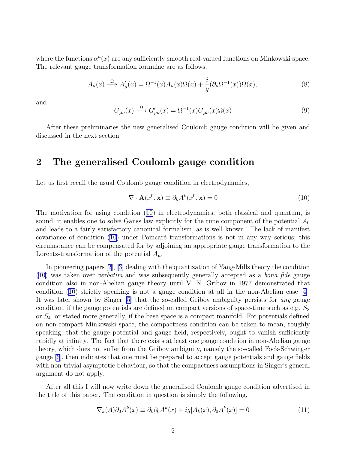<span id="page-2-0"></span>where the functions  $\alpha^a(x)$  are any sufficiently smooth real-valued functions on Minkowski space. The relevant gauge transformation formulae are as follows,

$$
A_{\mu}(x) \xrightarrow{\Omega} A'_{\mu}(x) = \Omega^{-1}(x) A_{\mu}(x) \Omega(x) + \frac{i}{g} (\partial_{\mu} \Omega^{-1}(x)) \Omega(x), \tag{8}
$$

and

$$
G_{\mu\nu}(x) \xrightarrow{\Omega} G'_{\mu\nu}(x) = \Omega^{-1}(x) G_{\mu\nu}(x) \Omega(x)
$$
\n(9)

After these preliminaries the new generalised Coulomb gauge condition will be given and discussed in the next section.

# 2 The generalised Coulomb gauge condition

Let us first recall the usual Coulomb gauge condition in electrodynamics,

$$
\nabla \cdot \mathbf{A}(x^0, \mathbf{x}) \equiv \partial_k A^k(x^0, \mathbf{x}) = 0 \tag{10}
$$

The motivation for using condition (10) in electrodynamics, both classical and quantum, is sound; it enables one to solve Gauss law explicitly for the time component of the potential  $A_0$ and leads to a fairly satisfactory canonical formalism, as is well known. The lack of manifest covariance of condition  $(10)$  under Poincaré transformations is not in any way serious; this circumstance can be compensated for by adjoining an appropriate gauge transformation to the Lorentz-transformation of the potential  $A_\mu$ .

In pioneering papers [\[2](#page-8-0)], [\[3\]](#page-8-0) dealing with the quantization of Yang-Mills theory the condition (10) was taken over verbatim and was subsequently generally accepted as a bona fide gauge condition also in non-Abelian gauge theory until V. N. Gribov in 1977 demonstrated that condition (10) strictly speaking is not a gauge condition at all in the non-Abelian case [\[4\]](#page-8-0). It was later shown by Singer [\[5](#page-8-0)] that the so-called Gribov ambiguity persists for any gauge condition, if the gauge potentials are defined on compact versions of space-time such as e.g.  $S_3$ or  $S_4$ , or stated more generally, if the base space is a compact manifold. For potentials defined on non-compact Minkowski space, the compactness condition can be taken to mean, roughly speaking, that the gauge potential and gauge field, respectively, ought to vanish sufficiently rapidly at infinity. The fact that there exists at least one gauge condition in non-Abelian gauge theory, which does not suffer from the Gribov ambiguity, namely the so-called Fock-Schwinger gauge [\[6](#page-8-0)], then indicates that one must be prepared to accept gauge potentials and gauge fields with non-trivial asymptotic behaviour, so that the compactness assumptions in Singer's general argument do not apply.

After all this I will now write down the generalised Coulomb gauge condition advertised in the title of this paper. The condition in question is simply the following,

$$
\nabla_k(A)\partial_0 A^k(x) \equiv \partial_k \partial_0 A^k(x) + ig[A_k(x), \partial_0 A^k(x)] = 0
$$
\n(11)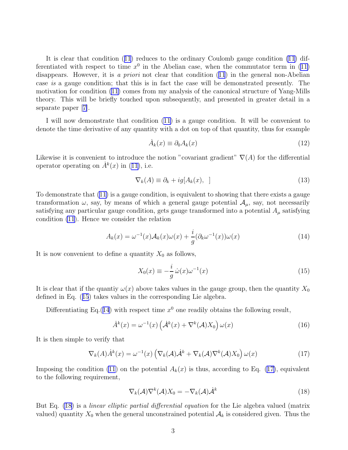<span id="page-3-0"></span>It is clear that condition([11](#page-2-0)) reduces to the ordinary Coulomb gauge condition [\(11](#page-2-0)) differentiated with respect to time  $x^0$  in the Abelian case, when the commutator term in [\(11\)](#page-2-0) disappears.However, it is a priori not clear that condition ([11](#page-2-0)) in the general non-Abelian case is a gauge condition; that this is in fact the case will be demonstrated presently. The motivation for condition [\(11\)](#page-2-0) comes from my analysis of the canonical structure of Yang-Mills theory. This will be briefly touched upon subsequently, and presented in greater detail in a separate paper[[7\]](#page-8-0).

I will now demonstrate that condition [\(11\)](#page-2-0) is a gauge condition. It will be convenient to denote the time derivative of any quantity with a dot on top of that quantity, thus for example

$$
\dot{A}_k(x) \equiv \partial_0 A_k(x) \tag{12}
$$

Likewise it is convenient to introduce the notion "covariant gradient"  $\nabla(A)$  for the differential operatoroperating on  $\dot{A}^k(x)$  in ([11\)](#page-2-0), i.e.

$$
\nabla_k(A) \equiv \partial_k + ig[A_k(x), ] \tag{13}
$$

To demonstrate that([11\)](#page-2-0) is a gauge condition, is equivalent to showing that there exists a gauge transformation  $\omega$ , say, by means of which a general gauge potential  $\mathcal{A}_{\mu}$ , say, not necessarily satisfying any particular gauge condition, gets gauge transformed into a potential  $A_\mu$  satisfying condition [\(11](#page-2-0)). Hence we consider the relation

$$
A_k(x) = \omega^{-1}(x)\mathcal{A}_k(x)\omega(x) + \frac{i}{g}(\partial_k\omega^{-1}(x))\omega(x)
$$
\n(14)

It is now convenient to define a quantity  $X_0$  as follows,

$$
X_0(x) \equiv -\frac{i}{g}\,\dot{\omega}(x)\omega^{-1}(x) \tag{15}
$$

It is clear that if the quantity  $\omega(x)$  above takes values in the gauge group, then the quantity  $X_0$ defined in Eq. (15) takes values in the corresponding Lie algebra.

Differentiating Eq.(14) with respect time  $x^0$  one readily obtains the following result,

$$
\dot{A}^{k}(x) = \omega^{-1}(x) \left( \dot{\mathcal{A}}^{k}(x) + \nabla^{k}(\mathcal{A}) X_{0} \right) \omega(x)
$$
\n(16)

It is then simple to verify that

$$
\nabla_k(A)\dot{A}^k(x) = \omega^{-1}(x) \left( \nabla_k(A)\dot{A}^k + \nabla_k(A)\nabla^k(A)X_0 \right) \omega(x) \tag{17}
$$

Imposing the condition [\(11](#page-2-0)) on the potential  $A_k(x)$  is thus, according to Eq. (17), equivalent to the following requirement,

$$
\nabla_k(\mathcal{A})\nabla^k(\mathcal{A})X_0 = -\nabla_k(\mathcal{A})\dot{\mathcal{A}}^k
$$
\n(18)

But Eq. (18) is a *linear elliptic partial differential equation* for the Lie algebra valued (matrix valued) quantity  $X_0$  when the general unconstrained potential  $A_k$  is considered given. Thus the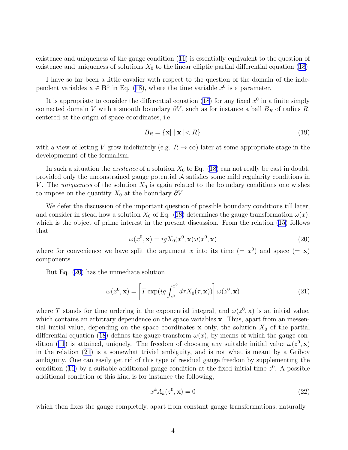<span id="page-4-0"></span>existence and uniqueness of the gauge condition([11](#page-2-0)) is essentially equivalent to the question of existenceand uniqueness of solutions  $X_0$  to the linear elliptic partial differential equation ([18\)](#page-3-0).

I have so far been a little cavalier with respect to the question of the domain of the independent variables  $x \in \mathbb{R}^3$  in Eq. [\(18\)](#page-3-0), where the time variable  $x^0$  is a parameter.

It is appropriate to consider the differential equation [\(18\)](#page-3-0) for any fixed  $x^0$  in a finite simply connected domain V with a smooth boundary  $\partial V$ , such as for instance a ball  $B_R$  of radius R, centered at the origin of space coordinates, i.e.

$$
B_R = \{ \mathbf{x} \mid \mid \mathbf{x} \mid < R \} \tag{19}
$$

with a view of letting V grow indefinitely (e.g.  $R \to \infty$ ) later at some appropriate stage in the developmemnt of the formalism.

Insuch a situation the *existence* of a solution  $X_0$  to Eq. ([18\)](#page-3-0) can not really be cast in doubt, provided only the unconstrained gauge potential  $A$  satisfies some mild regularity conditions in V. The *uniqueness* of the solution  $X_0$  is again related to the boundary conditions one wishes to impose on the quantity  $X_0$  at the boundary  $\partial V$ .

We defer the discussion of the important question of possible boundary conditions till later, andconsider in stead how a solution  $X_0$  of Eq. ([18\)](#page-3-0) determines the gauge transformation  $\omega(x)$ , which is the object of prime interest in the present discussion. From the relation [\(15](#page-3-0)) follows that

$$
\dot{\omega}(x^0, \mathbf{x}) = igX_0(x^0, \mathbf{x})\omega(x^0, \mathbf{x})
$$
\n(20)

where for convenience we have split the argument x into its time  $(= x^0)$  and space  $(= x)$ components.

But Eq. (20) has the immediate solution

$$
\omega(x^0, \mathbf{x}) = \left[ T \exp(ig \int_{z^0}^{x^0} d\tau X_0(\tau, \mathbf{x})) \right] \omega(z^0, \mathbf{x}) \tag{21}
$$

where T stands for time ordering in the exponential integral, and  $\omega(z^0, \mathbf{x})$  is an initial value, which contains an arbitrary dependence on the space variables x. Thus, apart from an inessential initial value, depending on the space coordinates x only, the solution  $X_0$  of the partial differential equation [\(18](#page-3-0)) defines the gauge transform  $\omega(x)$ , by means of which the gauge con-dition([11](#page-2-0)) is attained, uniquely. The freedom of choosing any suitable initial value  $\omega(z^0, \mathbf{x})$ in the relation (21) is a somewhat trivial ambiguity, and is not what is meant by a Gribov ambiguity. One can easily get rid of this type of residual gauge freedom by supplementing the condition([11](#page-2-0)) by a suitable additional gauge condition at the fixed initial time  $z<sup>0</sup>$ . A possible additional condition of this kind is for instance the following,

$$
x^k A_k(z^0, \mathbf{x}) = 0 \tag{22}
$$

which then fixes the gauge completely, apart from constant gauge transformations, naturally.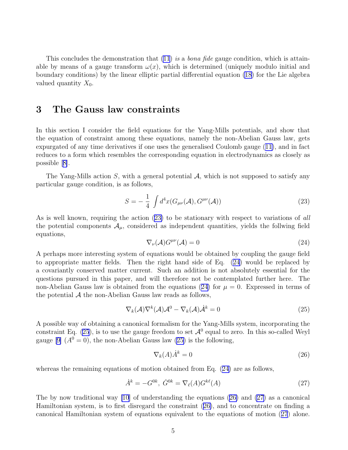<span id="page-5-0"></span>This concludes the demonstration that [\(11](#page-2-0)) is a *bona fide* gauge condition, which is attainable by means of a gauge transform  $\omega(x)$ , which is determined (uniquely modulo initial and boundary conditions) by the linear elliptic partial differential equation [\(18\)](#page-3-0) for the Lie algebra valued quantity  $X_0$ .

### 3 The Gauss law constraints

In this section I consider the field equations for the Yang-Mills potentials, and show that the equation of constraint among these equations, namely the non-Abelian Gauss law, gets expurgated of any time derivatives if one uses the generalised Coulomb gauge([11\)](#page-2-0), and in fact reduces to a form which resembles the corresponding equation in electrodynamics as closely as possible[[8\]](#page-8-0).

The Yang-Mills action S, with a general potential  $\mathcal{A}$ , which is not supposed to satisfy any particular gauge condition, is as follows,

$$
S = -\frac{1}{4} \int d^4x (G_{\mu\nu}(\mathcal{A}), G^{\mu\nu}(\mathcal{A})) \tag{23}
$$

As is well known, requiring the action (23) to be stationary with respect to variations of all the potential components  $\mathcal{A}_{\mu}$ , considered as independent quantities, yields the follwing field equations,

$$
\nabla_{\nu}(\mathcal{A})G^{\mu\nu}(\mathcal{A}) = 0 \tag{24}
$$

A perhaps more interesting system of equations would be obtained by coupling the gauge field to appropriate matter fields. Then the right hand side of Eq. (24) would be replaced by a covariantly conserved matter current. Such an addition is not absolutely essential for the questions pursued in this paper, and will therefore not be contemplated further here. The non-Abelian Gauss law is obtained from the equations (24) for  $\mu = 0$ . Expressed in terms of the potential  $A$  the non-Abelian Gauss law reads as follows,

$$
\nabla_k(\mathcal{A})\nabla^k(\mathcal{A})\mathcal{A}^0 - \nabla_k(\mathcal{A})\dot{\mathcal{A}}^k = 0
$$
\n(25)

A possible way of obtaining a canonical formalism for the Yang-Mills system, incorporating the constraint Eq. (25), is to use the gauge freedom to set  $\mathcal{A}^0$  equal to zero. In this so-called Weyl gauge[[9\]](#page-8-0)  $(A^0 = 0)$ , the non-Abelian Gauss law (25) is the following,

$$
\nabla_k(A)\dot{A}^k = 0\tag{26}
$$

whereas the remaining equations of motion obtained from Eq. (24) are as follows,

$$
\dot{A}^k = -G^{0k}, \ \dot{G}^{0k} = \nabla_{\ell}(A)G^{k\ell}(A) \tag{27}
$$

The by now traditional way [\[10](#page-8-0)] of understanding the equations  $(26)$  and  $(27)$  as a canonical Hamiltonian system, is to first disregard the constraint (26), and to concentrate on finding a canonical Hamiltonian system of equations equivalent to the equations of motion (27) alone.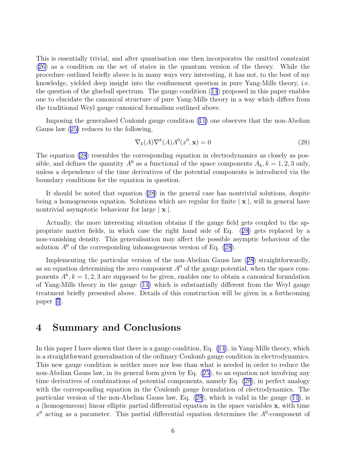<span id="page-6-0"></span>This is essentially trivial, and after quantisation one then incorporates the omitted constraint [\(26\)](#page-5-0) as a condition on the set of states in the quantum version of the theory. While the procedure outlined briefly above is in many ways very interesting, it has not, to the best of my knowledge, yielded deep insight into the confinement question in pure Yang-Mills theory, i.e. the question of the glueball spectrum. The gauge condition([11](#page-2-0)) proposed in this paper enables one to elucidate the canonical structure of pure Yang-Mills theory in a way which differs from the traditional Weyl gauge canonical formalism outlined above.

Imposing the generalised Coulomb gauge condition [\(11\)](#page-2-0) one observes that the non-Abelian Gauss law([25\)](#page-5-0) reduces to the following,

$$
\nabla_k(A)\nabla^k(A)A^0(x^0, \mathbf{x}) = 0\tag{28}
$$

The equation (28) resembles the corresponding equation in electrodynamics as closely as possible, and defines the quantity  $A^0$  as a functional of the space components  $A_k$ ,  $k = 1, 2, 3$  only, unless a dependence of the time derivatives of the potential components is introduced via the boundary conditions for the equation in question.

It should be noted that equation (28) in the general case has nontrivial solutions, despite being a homogeneous equation. Solutions which are regular for finite  $|\mathbf{x}|$ , will in general have nontrivial asymptotic behaviour for large  $|\mathbf{x}|$ .

Actually, the more interesting situation obtains if the gauge field gets coupled to the appropriate matter fields, in which case the right hand side of Eq. (28) gets replaced by a non-vanishing density. This generalisation may affect the possible asymptic behaviour of the solution  $A^0$  of the corresponding inhomogeneous version of Eq. (28).

Implementing the particular version of the non-Abelian Gauss law (28) straightforwardly, as an equation determining the zero component  $A^0$  of the gauge potential, when the space components  $A^k$ ,  $k = 1, 2, 3$  are supposed to be given, enables one to obtain a canonical formulation of Yang-Mills theory in the gauge [\(11\)](#page-2-0) which is substantially different from the Weyl gauge treatment briefly presented above. Details of this construction will be given in a forthcoming paper[[7](#page-8-0)].

## 4 Summary and Conclusions

In this paper I have shown that there is a gauge condition, Eq. [\(11](#page-2-0)), in Yang-Mills theory, which is a straightforward generalisation of the ordinary Coulomb gauge condition in electrodynamics. This new gauge condition is neither more nor less than what is needed in order to reduce the non-Abelian Gauss law, in its general form given by Eq.([25\)](#page-5-0), to an equation not involving any time derivatives of combinations of potential components, namely Eq. (28), in perfect analogy with the corresponding equation in the Coulomb gauge formulation of electrodynamics. The particular version of the non-Abelian Gauss law, Eq. (28), which is valid in the gauge([11\)](#page-2-0), is a (homogemeous) linear elliptic partial differential equation in the space variables x, with time  $x<sup>0</sup>$  acting as a parameter. This partial differential equation determines the  $A<sup>0</sup>$ -component of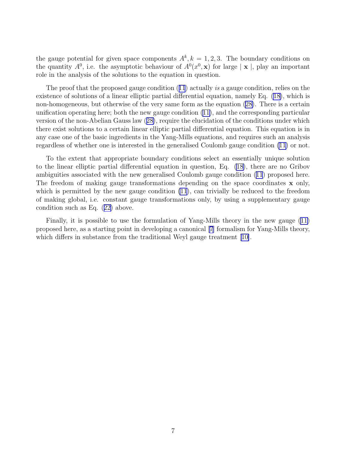the gauge potential for given space components  $A^k, k = 1, 2, 3$ . The boundary conditions on the quantity  $A^0$ , i.e. the asymptotic behaviour of  $A^0(x^0, \mathbf{x})$  for large  $|\mathbf{x}|$ , play an important role in the analysis of the solutions to the equation in question.

Theproof that the proposed gauge condition ([11](#page-2-0)) actually is a gauge condition, relies on the existence of solutions of a linear elliptic partial differential equation, namely Eq. [\(18\)](#page-3-0), which is non-homogeneous, but otherwise of the very same form as the equation([28\)](#page-6-0). There is a certain unification operating here; both the new gauge condition([11\)](#page-2-0), and the corresponding particular version of the non-Abelian Gauss law([28\)](#page-6-0), require the elucidation of the conditions under which there exist solutions to a certain linear elliptic partial differential equation. This equation is in any case one of the basic ingredients in the Yang-Mills equations, and requires such an analysis regardless of whether one is interested in the generalised Coulomb gauge condition [\(11](#page-2-0)) or not.

To the extent that appropriate boundary conditions select an essentially unique solution to the linear elliptic partial differential equation in question, Eq. [\(18](#page-3-0)), there are no Gribov ambiguities associated with the new generalised Coulomb gauge condition([11](#page-2-0)) proposed here. The freedom of making gauge transformations depending on the space coordinates x only, which is permitted by the new gauge condition [\(11](#page-2-0)), can trivially be reduced to the freedom of making global, i.e. constant gauge transformations only, by using a supplementary gauge condition such as Eq.([22\)](#page-4-0) above.

Finally, it is possible to use the formulation of Yang-Mills theory in the new gauge [\(11\)](#page-2-0) proposed here, as a starting point in developing a canonical [\[7\]](#page-8-0) formalism for Yang-Mills theory, whichdiffers in substance from the traditional Weyl gauge treatment [[10\]](#page-8-0).